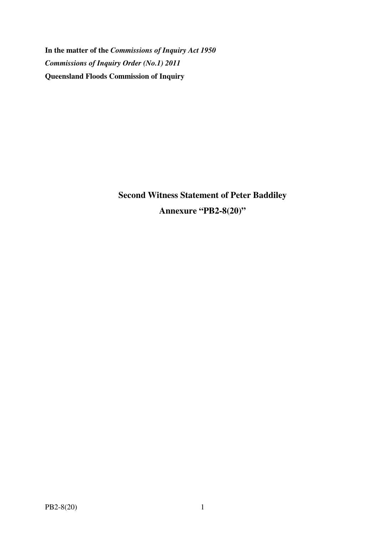**In the matter of the** *Commissions of Inquiry Act 1950 Commissions of Inquiry Order (No.1) 2011* **Queensland Floods Commission of Inquiry** 

> **Second Witness Statement of Peter Baddiley Annexure "PB2-8(20)"**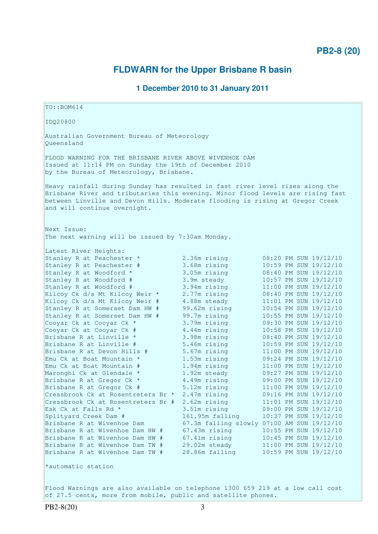# **PB2-8 (20)**

# **FLDWARN for the Upper Brisbane R basin**

## **1 December 2010 to 31 January 2011**

TO::BOM614 IDQ20800 Australian Government Bureau of Meteorology Queensland FLOOD WARNING FOR THE BRISBANE RIVER ABOVE WIVENHOE DAM Issued at 11:14 PM on Sunday the 19th of December 2010 by the Bureau of Meteorology, Brisbane. Heavy rainfall during Sunday has resulted in fast river level rises along the Brisbane River and tributaries this evening. Minor flood levels are rising fast between Linville and Devon Hills. Moderate flooding is rising at Gregor Creek and will continue overnight. Next Issue: The next warning will be issued by 7:30am Monday. Latest River Heights: Stanley R at Peachester \* 2.36m rising 08:20 PM SUN 19/12/10 Stanley R at Peachester # 3.68m rising 10:59 PM SUN 19/12/10 Stanley R at Woodford \* 3.05m rising 08:40 PM SUN 19/12/10 Stanley R at Woodford # 3.9m steady 10:57 PM SUN 19/12/10 Stanley R at Woodford # 3.94m rising 11:00 PM SUN 19/12/10 Kilcoy Ck d/s Mt Kilcoy Weir \* 2.77m rising 08:40 PM SUN 19/12/10 Kilcoy Ck d/s Mt Kilcoy Weir # 4.88m steady 11:01 PM SUN 19/12/10 Stanley R at Somerset Dam HW # 99.62m rising 10:54 PM SUN 19/12/10 Stanley R at Somerset Dam HW # 99.7m rising 10:55 PM SUN 19/12/10 Cooyar Ck at Cooyar Ck \* 3.79m rising 09:30 PM SUN 19/12/10 Cooyar Ck at Cooyar Ck # 4.44m rising 10:58 PM SUN 19/12/10 Brisbane R at Linville \* 3.98m rising 08:40 PM SUN 19/12/10 Brisbane R at Linville # 5.46m rising 10:59 PM SUN 19/12/10 Brisbane R at Devon Hills # 5.67m rising 11:00 PM SUN 19/12/10 Emu Ck at Boat Mountain \* 1.53m rising 09:24 PM SUN 19/12/10 Emu Ck at Boat Mountain # 1.94m rising 11:00 PM SUN 19/12/10 Maronghi Ck at Glendale \* 1.92m steady 09:27 PM SUN 19/12/10 Brisbane R at Gregor Ck \* 4.49m rising 09:00 PM SUN 19/12/10 Brisbane R at Gregor Ck # 5.12m rising 11:00 PM SUN 19/12/10 Cressbrook Ck at Rosentreters Br \* 2.47m rising 09:16 PM SUN 19/12/10 Cressbrook Ck at Rosentreters Br  $# 2.62m$  rising  $11:01$  PM SUN  $19/12/10$ Esk Ck at Falls Rd \* 3.51m rising 09:00 PM SUN 19/12/10 Cressbrook Ck at Rosentreters Br  $\#$  2.62m rising 11:01 PM SUN 19/12/10<br>Esk Ck at Falls Rd  $*$  3.51m rising 10:37 PM SUN 19/12/10<br>Creek Dam  $\#$  161.95m falling 10:37 PM SUN 19/12/10 Brisbane R at Wivenhoe Dam 67.3m falling slowly 07:00 AM SUN 19/12/10 Brisbane R at Wivenhoe Dam HW # 67.43m rising 10:55 PM SUN 19/12/10 Brisbane R at Wivenhoe Dam HW # 67.41m rising 10:45 PM SUN 19/12/10 Brisbane R at Wivenhoe Dam TW # 29.02m steady 11:00 PM SUN 19/12/10 Brisbane R at Wivenhoe Dam TW # 28.86m falling 10:59 PM SUN 19/12/10 \*automatic station Flood Warnings are also available on telephone 1300 659 219 at a low call cost of 27.5 cents, more from mobile, public and satellite phones.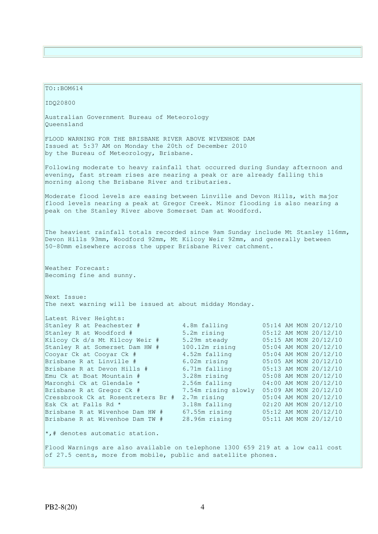TO::BOM614 IDQ20800 Australian Government Bureau of Meteorology Queensland FLOOD WARNING FOR THE BRISBANE RIVER ABOVE WIVENHOE DAM Issued at 5:37 AM on Monday the 20th of December 2010 by the Bureau of Meteorology, Brisbane. Following moderate to heavy rainfall that occurred during Sunday afternoon and evening, fast stream rises are nearing a peak or are already falling this morning along the Brisbane River and tributaries. Moderate flood levels are easing between Linville and Devon Hills, with major flood levels nearing a peak at Gregor Creek. Minor flooding is also nearing a peak on the Stanley River above Somerset Dam at Woodford. The heaviest rainfall totals recorded since 9am Sunday include Mt Stanley 116mm, Devon Hills 93mm, Woodford 92mm, Mt Kilcoy Weir 92mm, and generally between 50-80mm elsewhere across the upper Brisbane River catchment. Weather Forecast: Becoming fine and sunny. Next Issue: The next warning will be issued at about midday Monday. Latest River Heights: Stanley R at Peachester # 4.8m falling 05:14 AM MON 20/12/10 Stanley R at Woodford # 5.2m rising 05:12 AM MON 20/12/10 Kilcoy Ck d/s Mt Kilcoy Weir # 5.29m steady 05:15 AM MON 20/12/10 Stanley R at Somerset Dam HW # 100.12m rising 05:04 AM MON 20/12/10 Cooyar Ck at Cooyar Ck # 4.52m falling 05:04 AM MON 20/12/10 Brisbane R at Linville # 6.02m rising 05:05 AM MON 20/12/10 Brisbane R at Devon Hills # 6.71m falling 05:13 AM MON 20/12/10 Emu Ck at Boat Mountain # 3.28m rising 05:08 AM MON 20/12/10 Maronghi Ck at Glendale \* 2.56m falling 04:00 AM MON 20/12/10 Brisbane R at Gregor Ck # 7.54m rising slowly 05:09 AM MON 20/12/10 Cressbrook Ck at Rosentreters Br # 2.7m rising 05:04 AM MON 20/12/10 Esk Ck at Falls Rd \* 3.18m falling 02:20 AM MON 20/12/10 Brisbane R at Wivenhoe Dam HW # 67.55m rising 05:12 AM MON 20/12/10 Brisbane R at Wivenhoe Dam TW # 28.96m rising 05:11 AM MON 20/12/10  $\star$ ,# denotes automatic station. Flood Warnings are also available on telephone 1300 659 219 at a low call cost of 27.5 cents, more from mobile, public and satellite phones.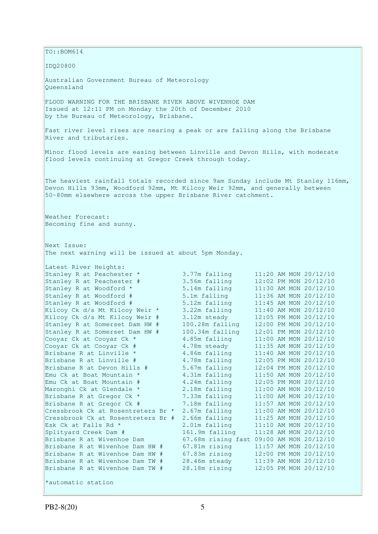$\vert$ TO::BOM614 IDQ20800 Australian Government Bureau of Meteorology Queensland FLOOD WARNING FOR THE BRISBANE RIVER ABOVE WIVENHOE DAM Issued at 12:11 PM on Monday the 20th of December 2010 by the Bureau of Meteorology, Brisbane. Fast river level rises are nearing a peak or are falling along the Brisbane River and tributaries. Minor flood levels are easing between Linville and Devon Hills, with moderate flood levels continuing at Gregor Creek through today. The heaviest rainfall totals recorded since 9am Sunday include Mt Stanley 116mm, Devon Hills 93mm, Woodford 92mm, Mt Kilcoy Weir 92mm, and generally between 50-80mm elsewhere across the upper Brisbane River catchment. Weather Forecast: Becoming fine and sunny. Next Issue: The next warning will be issued at about 5pm Monday. Latest River Heights: Stanley R at Peachester \* 3.77m falling 11:20 AM MON 20/12/10<br>Stanley R at Peachester # 3.56m falling 12:02 PM MON 20/12/10 Stanley R at Peachester # 3.56m falling 12:02 PM MON 20/12/10<br>
Stanley R at Woodford \* 5.14m falling 11:30 AM MON 20/12/10<br>
Stanley R at Woodford # 5.1m falling 11:36 AM MON 20/12/10 Stanley R at Woodford \* 5.14m falling 11:30 AM MON 20/12/10<br>Stanley R at Woodford # 5.1m falling 11:36 AM MON 20/12/10 Stanley R at Woodford # 5.1m falling 11:36 AM MON 20/12/10 Stanley R at Woodford # 5.12m falling 11:45 AM MON 20/12/10 Kilcoy Ck d/s Mt Kilcoy Weir \* 3.22m falling 11:40 AM MON 20/12/10 Kilcoy Ck d/s Mt Kilcoy Weir # 3.12m steady 12:05 PM MON 20/12/10 Stanley R at Somerset Dam HW # 100.28m falling 12:00 PM MON 20/12/10 Stanley R at Somerset Dam HW # 100.34m falling 12:01 PM MON 20/12/10 Cooyar Ck at Cooyar Ck \* 4.85m falling 11:00 AM MON 20/12/10 Cooyar Ck at Cooyar Ck # 4.78m steady 11:35 AM MON 20/12/10 Brisbane R at Linville \* 3.86m falling 11:40 AM MON 20/12/10 Brisbane R at Linville # 4.78m falling 12:05 PM MON 20/12/10 Brisbane R at Devon Hills # 5.67m falling 12:04 PM MON 20/12/10 Emu Ck at Boat Mountain  $*$  4.31m falling 11:50 AM MON 20/12/10 Emu Ck at Boat Mountain # 4.24m falling 12:05 PM MON 20/12/10 Maronghi Ck at Glendale \* 2.18m falling 11:00 AM MON 20/12/10 Brisbane R at Gregor Ck \* 7.33m falling 11:00 AM MON 20/12/10 Brisbane R at Gregor Ck # 7.18m falling 11:57 AM MON 20/12/10 Cressbrook Ck at Rosentreters Br \* 2.67m falling 11:00 AM MON 20/12/10 Cressbrook Ck at Rosentreters Br # 2.66m falling 11:25 AM MON 20/12/10 Esk Ck at Falls Rd \* 2.01m falling 11:10 AM MON 20/12/10 Splityard Creek Dam # 161.9m falling 11:28 AM MON 20/12/10 Splityard Creek Dam # 161.9m falling 11:10 AM MON 20/12/10<br>Brisbane R at Wivenhoe Dam 67.68m rising fast 09:00 AM MON 20/12/10 Brisbane R at Wivenhoe Dam HW # 67.81m rising 11:57 AM MON 20/12/10 Brisbane R at Wivenhoe Dam HW # 67.83m rising 12:00 PM MON 20/12/10 Brisbane R at Wivenhoe Dam TW # 28.46m steady 11:39 AM MON 20/12/10 Brisbane R at Wivenhoe Dam TW # 28.18m rising 12:05 PM MON 20/12/10 \*automatic station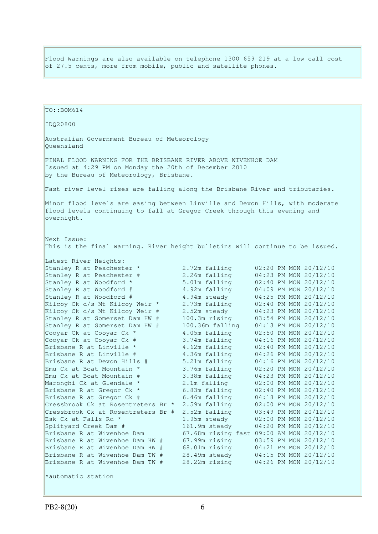Flood Warnings are also available on telephone 1300 659 219 at a low call cost of 27.5 cents, more from mobile, public and satellite phones.

 $TO: **ROM614**$ IDQ20800 Australian Government Bureau of Meteorology Queensland FINAL FLOOD WARNING FOR THE BRISBANE RIVER ABOVE WIVENHOE DAM Issued at 4:29 PM on Monday the 20th of December 2010 by the Bureau of Meteorology, Brisbane. Fast river level rises are falling along the Brisbane River and tributaries. Minor flood levels are easing between Linville and Devon Hills, with moderate flood levels continuing to fall at Gregor Creek through this evening and overnight. Next Issue: This is the final warning. River height bulletins will continue to be issued. Latest River Heights:<br>Stanley R at Peachester \* 2.72m falling 02:20 PM MON 20/12/10 Stanley R at Peachester  $#$  2.26m falling Stanley R at Peachester # 2.26m falling 04:23 PM MON 20/12/10<br>Stanley R at Woodford \* 5.01m falling 02:40 PM MON 20/12/10<br>Stanley R at Woodford # 4.92m falling 04:09 PM MON 20/12/10<br>Stanley R at Woodford # 4.94m steady 04: Stanley R at Woodford #  $4.92m$  falling 8 At Mondord \$  $4.92m$  Falling Stanley R at Woodford # 4.94m steady<br>Kilcoy Ck d/s Mt Kilcoy Weir \* 2.73m falling<br>Kilcoy Ck d/s Mt Kilcoy Weir # 2.52m steady<br>Stanley R at Somongot Dun Wy " Kilcoy Ck d/s Mt Kilcoy Weir \* 2.73m falling 02:40 PM MON 20/12/10 Kilcoy Ck d/s Mt Kilcoy Weir # 2.52m steady 04:23 PM MON 20/12/10 Stanley R at Somerset Dam HW # 100.3m rising 03:54 PM MON 20/12/10 Stanley R at Somerset Dam HW # 100.36m falling 04:13 PM MON 20/12/10 Cooyar Ck at Cooyar Ck \* 4.05m falling 02:50 PM MON 20/12/10 Cooyar Ck at Cooyar Ck # 3.74m falling 04:16 PM MON 20/12/10 Brisbane R at Linville \* 4.62m falling 02:40 PM MON 20/12/10 Brisbane R at Linville # 4.36m falling 04:26 PM MON 20/12/10 Brisbane R at Devon Hills # 5.21m falling 04:16 PM MON 20/12/10 Emu Ck at Boat Mountain  $*$  3.76m falling 02:20 PM MON 20/12/10 Emu Ck at Boat Mountain # 3.38m falling 04:23 PM MON 20/12/10 Maronghi Ck at Glendale  $*$  2.1m falling 02:00 PM MON 20/12/10 Maronghi Ck at Glendale \* 2.1m falling 02:00 PM MON 20/12/10<br>Brisbane R at Gregor Ck \* 6.83m falling 02:40 PM MON 20/12/10<br>Brisbane R at Gregor Ck # 6.46m falling 04:18 PM MON 20/12/10<br>Cressbrook Ck at Rosentreters Br \* 2. Brisbane R at Gregor Ck  $#$ Cressbrook Ck at Rosentreters Br  $*$  2.59m falling Cressbrook Ck at Rosentreters Br  $#$  2.52m falling 03:49 PM MON 20/12/10 Esk Ck at Falls Rd \* 1.95m steady 02:00 PM MON 20/12/10 Splityard Creek Dam # 161.9m steady 04:20 PM MON 20/12/10 Splityard Creek Dam # 1.95m steady 02:00 PM MON 20/12/10<br>Brisbane R at Wivenhoe Dam 67.68m rising fast 09:00 AM MON 20/12/10<br>Brisbane B at Wivenhoe Dam 67.68m rising fast 09:00 AM MON 20/12/10 Brisbane R at Wivenhoe Dam HW # 67.99m rising 03:59 PM MON 20/12/10 Brisbane R at Wivenhoe Dam HW # 68.01m rising 04:21 PM MON 20/12/10 Brisbane R at Wivenhoe Dam TW # 28.49m steady 04:15 PM MON 20/12/10 Brisbane R at Wivenhoe Dam TW # 28.22m rising 04:26 PM MON 20/12/10 \*automatic station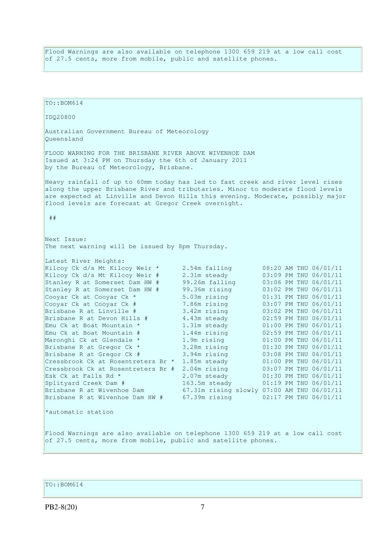Flood Warnings are also available on telephone 1300 659 219 at a low call cost of 27.5 cents, more from mobile, public and satellite phones.

TO::BOM614 IDQ20800 Australian Government Bureau of Meteorology Queensland FLOOD WARNING FOR THE BRISBANE RIVER ABOVE WIVENHOE DAM Issued at 3:24 PM on Thursday the 6th of January 2011 by the Bureau of Meteorology, Brisbane. Heavy rainfall of up to 60mm today has led to fast creek and river level rises along the upper Brisbane River and tributaries. Minor to moderate flood levels are expected at Linville and Devon Hills this evening. Moderate, possibly major flood levels are forecast at Gregor Creek overnight. ## Next Issue: The next warning will be issued by 8pm Thursday. Latest River Heights:<br>Kilcoy Ck d/s Mt Kilcoy Weir \* 2.54m falling Kilcoy Ck d/s Mt Kilcoy Weir \* 2.54m falling 08:20 AM THU 06/01/11 Kilcoy Ck d/s Mt Kilcoy Weir # 2.31m steady 03:09 PM THU 06/01/11 Stanley R at Somerset Dam HW # 99.26m falling 03:06 PM THU 06/01/11 Stanley R at Somerset Dam HW # 99.36m rising 03:02 PM THU 06/01/11 Cooyar Ck at Cooyar Ck \* 5.03m rising 01:31 PM THU 06/01/11<br>Cooyar Ck at Cooyar Ck # 7.86m rising 03:07 PM THU 06/01/11 Cooyar Ck at Cooyar Ck # 7.86m rising 03:07 PM THU 06/01/11 Brisbane R at Linville # 3.42m rising 03:02 PM THU 06/01/11 Brisbane R at Devon Hills # 4.43m steady 02:59 PM THU 06/01/11 Emu Ck at Boat Mountain \* 1.31m steady 01:00 PM THU 06/01/11 Emu Ck at Boat Mountain # 1.44m rising 02:59 PM THU 06/01/11 Maronghi Ck at Glendale \* 1.9m rising 01:00 PM THU 06/01/11 Brisbane R at Gregor Ck \* 3.28m rising 01:30 PM THU 06/01/11 Brisbane R at Gregor Ck # 3.94m rising 03:08 PM THU 06/01/11 Cressbrook Ck at Rosentreters Br  $*$  1.85m steady 01:00 PM THU 06/01/11 Cressbrook Ck at Rosentreters Br  $#$  2.04m rising 03:07 PM THU 06/01/11 Esk Ck at Falls Rd \* 2.07m steady 01:30 PM THU 06/01/11<br>
Splityard Creek Dam # 163.5m steady 01:19 PM THU 06/01/11 Splityard Creek Dam # 163.5m steady 01:19 PM THU 06/01/11 Brisbane R at Wivenhoe Dam 67.31m rising slowly 07:00 AM THU 06/01/11 Brisbane R at Wivenhoe Dam HW # 67.39m rising 02:17 PM THU 06/01/11 \*automatic station Flood Warnings are also available on telephone 1300 659 219 at a low call cost of 27.5 cents, more from mobile, public and satellite phones.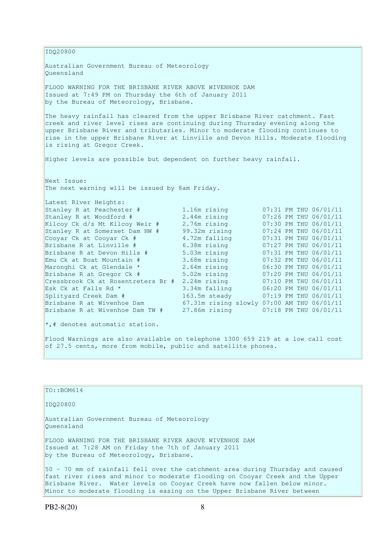IDQ20800 Australian Government Bureau of Meteorology Queensland FLOOD WARNING FOR THE BRISBANE RIVER ABOVE WIVENHOE DAM Issued at 7:49 PM on Thursday the 6th of January 2011 by the Bureau of Meteorology, Brisbane. The heavy rainfall has cleared from the upper Brisbane River catchment. Fast  $c$ reek and river level rises are continuing during Thursday evening along the upper Brisbane River and tributaries. Minor to moderate flooding continues to rise in the upper Brisbane River at Linville and Devon Hills. Moderate flooding is rising at Gregor Creek. Higher levels are possible but dependent on further heavy rainfall. Next Issue: The next warning will be issued by 8am Friday. Latest River Heights: Stanley R at Peachester # 1.16m rising 07:31 PM THU 06/01/11 Stanley R at Woodford # 2.44m rising 07:26 PM THU 06/01/11 Kilcoy Ck d/s Mt Kilcoy Weir # 2.76m rising 07:30 PM THU 06/01/11 Stanley R at Somerset Dam HW # 99.32m rising 07:24 PM THU 06/01/11 Cooyar Ck at Cooyar Ck  $\#$  4.72m falling 07:31 PM THU 06/01/11 Brisbane R at Linville # 6.38m rising 07:27 PM THU 06/01/11 Brisbane R at Devon Hills # 5.03m rising 07:31 PM THU 06/01/11 Emu Ck at Boat Mountain # 3.68m rising 07:32 PM THU 06/01/11 Maronghi Ck at Glendale \* 2.64m rising 06:30 PM THU 06/01/11 Brisbane R at Gregor Ck # 5.02m rising 07:20 PM THU 06/01/11 Emu Ck at Boat Mountain # 3.68m rising 07:32 PM THU 06/01/11<br>
Maronghi Ck at Glendale \* 2.64m rising 06:30 PM THU 06/01/11<br>
Brisbane R at Gregor Ck # 5.02m rising 07:20 PM THU 06/01/11<br>
Cressbrook Ck at Rosentreters Br # 2 Esk Ck at Falls Rd \* 3.34m falling 06:20 PM THU 06/01/11 Splityard Creek Dam # 163.5m steady 07:19 PM THU 06/01/11 Brisbane R at Wivenhoe Dam 67.31m rising slowly 07:00 AM THU 06/01/11 Brisbane R at Wivenhoe Dam TW # 27.86m rising 07:18 PM THU 06/01/11  $\star$ ,# denotes automatic station. Flood Warnings are also available on telephone 1300 659 219 at a low call cost of 27.5 cents, more from mobile, public and satellite phones.

| TO: : BOM614                                                                                                                                                                                                                                 |
|----------------------------------------------------------------------------------------------------------------------------------------------------------------------------------------------------------------------------------------------|
| ID020800                                                                                                                                                                                                                                     |
| Australian Government Bureau of Meteorology                                                                                                                                                                                                  |
| Oueensland                                                                                                                                                                                                                                   |
| FLOOD WARNING FOR THE BRISBANE RIVER ABOVE WIVENHOE DAM<br>Issued at 7:28 AM on Friday the 7th of January 2011<br>by the Bureau of Meteorology, Brisbane.                                                                                    |
| 50 - 70 mm of rainfall fell over the catchment area during Thursday and caused<br>fast river rises and minor to moderate flooding on Cooyar Creek and the Upper<br>Brisbane River. Water levels on Cooyar Creek have now fallen below minor. |
| Minor to moderate flooding is easing on the Upper Brisbane River between                                                                                                                                                                     |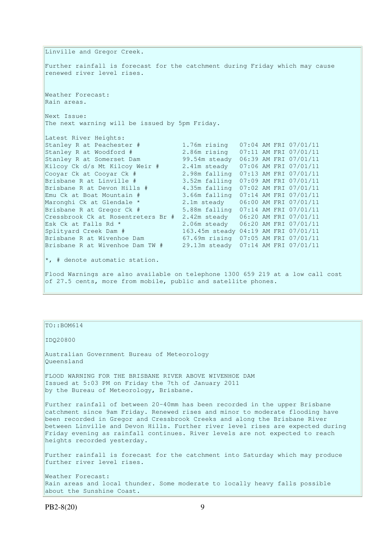Linville and Gregor Creek. Further rainfall is forecast for the catchment during Friday which may cause renewed river level rises. Weather Forecast: Rain areas. Next Issue: The next warning will be issued by 5pm Friday. Latest River Heights: Stanley R at Peachester # 1.76m rising 07:04 AM FRI 07/01/11<br>Stanley R at Woodford # 2.86m rising 07:11 AM FRI 07/01/11 Stanley R at Woodford # 2.86m rising 07:11 AM FRI 07/01/11 Stanley R at Somerset Dam 99.54m steady 06:39 AM FRI 07/01/11 Kilcoy Ck d/s Mt Kilcoy Weir # 2.41m steady 07:06 AM FRI 07/01/11 Cooyar Ck at Cooyar Ck # 2.98m falling 07:13 AM FRI 07/01/11 Brisbane R at Linville # 3.52m falling 07:09 AM FRI 07/01/11 Brisbane R at Devon Hills # 4.35m falling 07:02 AM FRI 07/01/11 Emu Ck at Boat Mountain # 3.66m falling 07:14 AM FRI 07/01/11 Maronghi Ck at Glendale \* 2.1m steady 06:00 AM FRI 07/01/11<br>Brisbane R at Gregor Ck # 5.88m falling 07:14 AM FRI 07/01/11 Brisbane R at Gregor Ck # 5.88m falling 07:14 AM FRI 07/01/11 Cressbrook Ck at Rosentreters Br # 2.42m steady 06:20 AM FRI 07/01/11 Esk Ck at Falls Rd \* 2.06m steady 06:20 AM FRI 07/01/11 Splityard Creek Dam # 163.45m steady 04:19 AM FRI 07/01/11 Brisbane R at Wivenhoe Dam 67.69m rising 07:05 AM FRI 07/01/11 Brisbane R at Wivenhoe Dam TW # 29.13m steady 07:14 AM FRI 07/01/11  $\star$ , # denote automatic station. Flood Warnings are also available on telephone 1300 659 219 at a low call cost of 27.5 cents, more from mobile, public and satellite phones.

## TO::BOM614

#### IDQ20800

Australian Government Bureau of Meteorology Queensland

FLOOD WARNING FOR THE BRISBANE RIVER ABOVE WIVENHOE DAM Issued at 5:03 PM on Friday the 7th of January 2011 by the Bureau of Meteorology, Brisbane.

Further rainfall of between 20-40mm has been recorded in the upper Brisbane catchment since 9am Friday. Renewed rises and minor to moderate flooding have been recorded in Gregor and Cressbrook Creeks and along the Brisbane River between Linville and Devon Hills. Further river level rises are expected during Friday evening as rainfall continues. River levels are not expected to reach heights recorded yesterday.

Further rainfall is forecast for the catchment into Saturday which may produce further river level rises.

Weather Forecast: Rain areas and local thunder. Some moderate to locally heavy falls possible about the Sunshine Coast.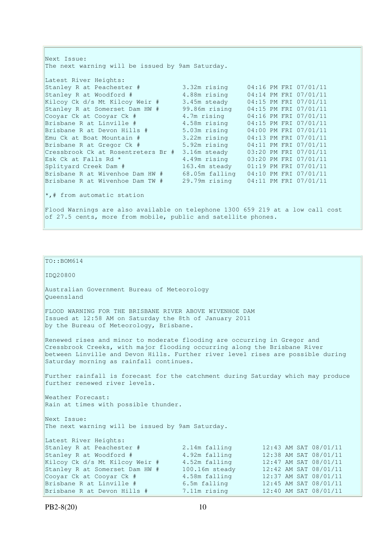| Next Issue:                                                                                                                                     |                |                       |  |
|-------------------------------------------------------------------------------------------------------------------------------------------------|----------------|-----------------------|--|
| The next warning will be issued by 9am Saturday.                                                                                                |                |                       |  |
| Latest River Heights:                                                                                                                           |                |                       |  |
| Stanley R at Peachester # 3.32m rising                                                                                                          |                | 04:16 PM FRI 07/01/11 |  |
|                                                                                                                                                 |                |                       |  |
| Stanley R at Woodford #                                                                                                                         | 4.88m rising   | 04:14 PM FRI 07/01/11 |  |
| Kilcoy Ck d/s Mt Kilcoy Weir #                                                                                                                  | 3.45m steady   | 04:15 PM FRI 07/01/11 |  |
| Stanley R at Somerset Dam HW #                                                                                                                  | 99.86m rising  | 04:15 PM FRI 07/01/11 |  |
| Cooyar Ck at Cooyar Ck #                                                                                                                        | 4.7m rising    | 04:16 PM FRI 07/01/11 |  |
| Brisbane R at Linville #                                                                                                                        | 4.58m rising   | 04:15 PM FRI 07/01/11 |  |
| Brisbane R at Devon Hills #                                                                                                                     | 5.03m rising   | 04:00 PM FRI 07/01/11 |  |
| Emu Ck at Boat Mountain #                                                                                                                       | 3.22m rising   | 04:13 PM FRI 07/01/11 |  |
| Brisbane R at Gregor Ck #                                                                                                                       | 5.92m rising   | 04:11 PM FRI 07/01/11 |  |
| Cressbrook Ck at Rosentreters Br #                                                                                                              | 3.16m steady   | 03:20 PM FRI 07/01/11 |  |
| Esk Ck at Falls Rd *                                                                                                                            | 4.49m rising   | 03:20 PM FRI 07/01/11 |  |
| Splityard Creek Dam #                                                                                                                           | 163.4m steady  | 01:19 PM FRI 07/01/11 |  |
| Brisbane R at Wivenhoe Dam HW #                                                                                                                 | 68.05m falling | 04:10 PM FRI 07/01/11 |  |
| Brisbane R at Wivenhoe Dam TW #                                                                                                                 | 29.79m rising  | 04:11 PM FRI 07/01/11 |  |
| $\star$ ,# from automatic station                                                                                                               |                |                       |  |
| Flood Warnings are also available on telephone 1300 659 219 at a low call cost<br>of 27.5 cents, more from mobile, public and satellite phones. |                |                       |  |

IDQ20800 Australian Government Bureau of Meteorology Queensland FLOOD WARNING FOR THE BRISBANE RIVER ABOVE WIVENHOE DAM Issued at 12:58 AM on Saturday the 8th of January 2011 by the Bureau of Meteorology, Brisbane. Renewed rises and minor to moderate flooding are occurring in Gregor and Cressbrook Creeks, with major flooding occurring along the Brisbane River between Linville and Devon Hills. Further river level rises are possible during Saturday morning as rainfall continues. Further rainfall is forecast for the catchment during Saturday which may produce further renewed river levels. Weather Forecast: Rain at times with possible thunder. Next Issue: The next warning will be issued by 9am Saturday. Latest River Heights: Stanley R at Peachester # 2.14m falling 12:43 AM SAT 08/01/11 Stanley R at Woodford # 4.92m falling 12:38 AM SAT 08/01/11

Brisbane R at Linville # 6.5m falling 12:45 AM SAT 08/01/11 Brisbane R at Devon Hills # 7.11m rising 12:40 AM SAT 08/01/11

Kilcoy Ck d/s Mt Kilcoy Weir  $#$  4.52m falling

 $\vert$ TO::BOM614

Stanley R at Somerset Dam HW # 100.16m steady 12:42 AM SAT 08/01/11<br>Coovar Ck at Coovar Ck # 4.58m falling 12:37 AM SAT 08/01/11 Cooyar Ck at Cooyar Ck  $\#$  4.58m falling 12:37 AM SAT 08/01/11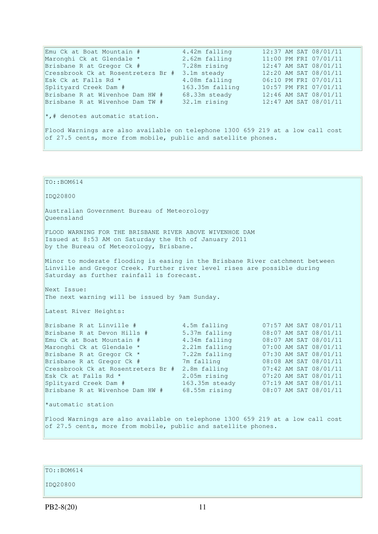Emu Ck at Boat Mountain # 4.42m falling 12:37 AM SAT 08/01/11 Maronghi Ck at Glendale \* 2.62m falling 11:00 PM FRI 07/01/11 Brisbane R at Gregor Ck # 7.28m rising 12:47 AM SAT 08/01/11 Cressbrook Ck at Rosentreters Br # 3.1m steady 12:20 AM SAT 08/01/11 Esk Ck at Falls Rd \* 4.08m falling 06:10 PM FRI 07/01/11 Splityard Creek Dam # 163.35m falling 10:57 PM FRI 07/01/11 Brisbane R at Wivenhoe Dam HW # 68.33m steady 12:46 AM SAT 08/01/11 Brisbane R at Wivenhoe Dam TW # 32.1m rising 12:47 AM SAT 08/01/11 \*,# denotes automatic station. Flood Warnings are also available on telephone 1300 659 219 at a low call cost of 27.5 cents, more from mobile, public and satellite phones.

| $TO: BOM614$                                                                                                                                                                                                                                                                                                       |                                                                                                |                                                                                                                                                                                                                                                                                                  |  |
|--------------------------------------------------------------------------------------------------------------------------------------------------------------------------------------------------------------------------------------------------------------------------------------------------------------------|------------------------------------------------------------------------------------------------|--------------------------------------------------------------------------------------------------------------------------------------------------------------------------------------------------------------------------------------------------------------------------------------------------|--|
| IDQ20800                                                                                                                                                                                                                                                                                                           |                                                                                                |                                                                                                                                                                                                                                                                                                  |  |
| Australian Government Bureau of Meteorology<br>Oueensland                                                                                                                                                                                                                                                          |                                                                                                |                                                                                                                                                                                                                                                                                                  |  |
| FLOOD WARNING FOR THE BRISBANE RIVER ABOVE WIVENHOE DAM<br>Issued at 8:53 AM on Saturday the 8th of January 2011<br>by the Bureau of Meteorology, Brisbane.                                                                                                                                                        |                                                                                                |                                                                                                                                                                                                                                                                                                  |  |
| Minor to moderate flooding is easing in the Brisbane River catchment between<br>Linville and Gregor Creek. Further river level rises are possible during<br>Saturday as further rainfall is forecast.                                                                                                              |                                                                                                |                                                                                                                                                                                                                                                                                                  |  |
| Next Issue:<br>The next warning will be issued by 9am Sunday.                                                                                                                                                                                                                                                      |                                                                                                |                                                                                                                                                                                                                                                                                                  |  |
| Latest River Heights:                                                                                                                                                                                                                                                                                              |                                                                                                |                                                                                                                                                                                                                                                                                                  |  |
| Brisbane R at Linville #<br>Brisbane R at Devon Hills #<br>Emu Ck at Boat Mountain #<br>Maronghi Ck at Glendale *<br>Brisbane R at Gregor Ck *<br>Brisbane R at Gregor Ck #<br>Cressbrook Ck at Rosentreters Br # 2.8m falling<br>Esk Ck at Falls Rd *<br>Splityard Creek Dam #<br>Brisbane R at Wivenhoe Dam HW # | 4.5m falling<br>4.34m falling<br>2.21m falling<br>7.22m falling<br>7m falling<br>68.55m rising | 07:57 AM SAT 08/01/11<br>5.37m falling 08:07 AM SAT 08/01/11<br>08:07 AM SAT 08/01/11<br>07:00 AM SAT 08/01/11<br>07:30 AM SAT 08/01/11<br>08:08 AM SAT 08/01/11<br>07:42 AM SAT 08/01/11<br>2.05m rising 07:20 AM SAT 08/01/11<br>163.35m steady 07:19 AM SAT 08/01/11<br>08:07 AM SAT 08/01/11 |  |
| *automatic station                                                                                                                                                                                                                                                                                                 |                                                                                                |                                                                                                                                                                                                                                                                                                  |  |
| Flood Warnings are also available on telephone 1300 659 219 at a low call cost<br>of 27.5 cents, more from mobile, public and satellite phones.                                                                                                                                                                    |                                                                                                |                                                                                                                                                                                                                                                                                                  |  |

TO::BOM614

IDQ20800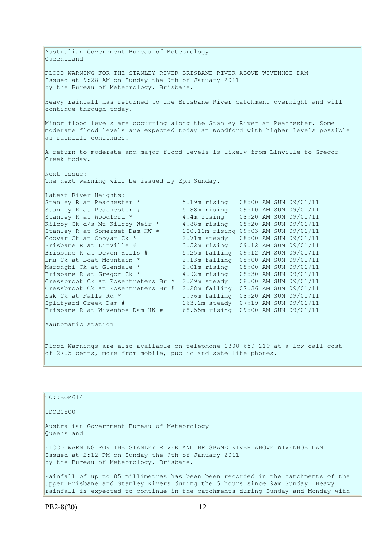Australian Government Bureau of Meteorology Queensland FLOOD WARNING FOR THE STANLEY RIVER BRISBANE RIVER ABOVE WIVENHOE DAM Issued at 9:28 AM on Sunday the 9th of January 2011 by the Bureau of Meteorology, Brisbane. Heavy rainfall has returned to the Brisbane River catchment overnight and will continue through today. Minor flood levels are occurring along the Stanley River at Peachester. Some moderate flood levels are expected today at Woodford with higher levels possible as rainfall continues. A return to moderate and major flood levels is likely from Linville to Gregor Creek today. Next Issue: The next warning will be issued by 2pm Sunday. Latest River Heights: Stanley R at Peachester \* 5.19m rising 08:00 AM SUN 09/01/11 Stanley R at Peachester # 5.88m rising 09:10 AM SUN 09/01/11 Stanley R at Woodford  $*$  4.4m rising 08:20 AM SUN 09/01/11 Kilcoy Ck d/s Mt Kilcoy Weir \* 4.88m rising 08:20 AM SUN 09/01/11 Stanley R at Somerset Dam HW # 100.12m rising 09:03 AM SUN 09/01/11 Cooyar Ck at Cooyar Ck \* 2.71m steady 08:00 AM SUN 09/01/11 Brisbane R at Linville # 3.52m rising 09:12 AM SUN 09/01/11 Brisbane R at Devon Hills # 5.25m falling 09:12 AM SUN 09/01/11 Emu Ck at Boat Mountain \* 2.13m falling 08:00 AM SUN 09/01/11 Maronghi Ck at Glendale \* 2.01m rising 08:00 AM SUN 09/01/11 Brisbane R at Gregor Ck \* 4.92m rising 08:30 AM SUN 09/01/11 Brisbane R at Gregor Ck \*  $4.92$ m rising 08:30 AM SUN 09/01/11<br>Cressbrook Ck at Rosentreters Br \* 2.29m steady 08:00 AM SUN 09/01/11 Cressbrook Ck at Rosentreters Br # 2.28m falling 07:36 AM SUN 09/01/11 Esk Ck at Falls Rd \* 1.96m falling 08:20 AM SUN 09/01/11<br>Splitvard Creek Dam # 1.96m falling 08:20 AM SUN 09/01/11 Splityard Creek Dam # 163.2m steady 07:19 AM SUN 09/01/11 Brisbane R at Wivenhoe Dam HW # 68.55m rising 09:00 AM SUN 09/01/11 \*automatic station Flood Warnings are also available on telephone 1300 659 219 at a low call cost

#### TO::BOM614

IDQ20800

Australian Government Bureau of Meteorology Queensland

FLOOD WARNING FOR THE STANLEY RIVER AND BRISBANE RIVER ABOVE WIVENHOE DAM Issued at 2:12 PM on Sunday the 9th of January 2011 by the Bureau of Meteorology, Brisbane.

of 27.5 cents, more from mobile, public and satellite phones.

Rainfall of up to 85 millimetres has been been recorded in the catchments of the Upper Brisbane and Stanley Rivers during the 5 hours since 9am Sunday. Heavy rainfall is expected to continue in the catchments during Sunday and Monday with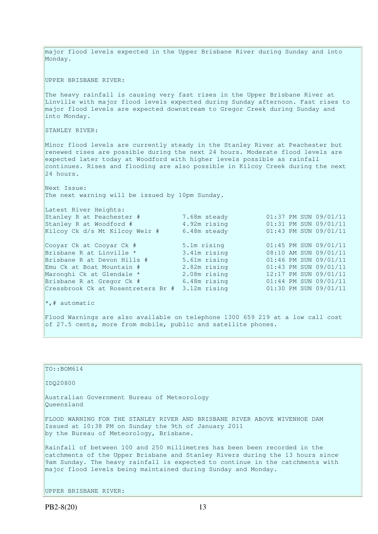major flood levels expected in the Upper Brisbane River during Sunday and into Monday. UPPER BRISBANE RIVER: The heavy rainfall is causing very fast rises in the Upper Brisbane River at Linville with major flood levels expected during Sunday afternoon. Fast rises to major flood levels are expected downstream to Gregor Creek during Sunday and into Monday. STANLEY RIVER: Minor flood levels are currently steady in the Stanley River at Peachester but renewed rises are possible during the next 24 hours. Moderate flood levels are expected later today at Woodford with higher levels possible as rainfall continues. Rises and flooding are also possible in Kilcoy Creek during the next 24 hours. Next Issue: The next warning will be issued by 10pm Sunday. Latest River Heights: Stanley R at Peachester # 7.68m steady 01:37 PM SUN 09/01/11<br>Stanley R at Woodford # 4.92m rising 01:31 PM SUN 09/01/11 Stanley R at Woodford  $#$ Kilcoy Ck d/s Mt Kilcoy Weir #  $6.48$ m steady 01:43 PM SUN 09/01/11 Cooyar Ck at Cooyar Ck # 5.1m rising 01:45 PM SUN 09/01/11 Brisbane R at Linville \* 3.41m rising 08:10 AM SUN 09/01/11<br>
Brisbane R at Devon Hills # 5.61m rising 01:46 PM SUN 09/01/11<br>
Emu Ck at Boat Mountain # 2.82m rising 01:43 PM SUN 09/01/11<br>
Maronghi Ck at Glendale \* 2.08m ris Brisbane R at Devon Hills # Emu Ck at Boat Mountain # 2.82m rising 01:43 PM SUN 09/01/11 Maronghi Ck at Glendale \* 2.08m rising 12:17 PM SUN 09/01/11 Brisbane R at Gregor Ck # 6.48m rising 01:44 PM SUN 09/01/11 Cressbrook Ck at Rosentreters Br # 3.12m rising 01:30 PM SUN 09/01/11  $\vert *$ , # automatic Flood Warnings are also available on telephone 1300 659 219 at a low call cost of 27.5 cents, more from mobile, public and satellite phones.

# $TO::BOM614$

IDQ20800

Australian Government Bureau of Meteorology Queensland

FLOOD WARNING FOR THE STANLEY RIVER AND BRISBANE RIVER ABOVE WIVENHOE DAM Issued at 10:38 PM on Sunday the 9th of January 2011 by the Bureau of Meteorology, Brisbane.

Rainfall of between 100 and 250 millimetres has been been recorded in the catchments of the Upper Brisbane and Stanley Rivers during the 13 hours since 9am Sunday. The heavy rainfall is expected to continue in the catchments with major flood levels being maintained during Sunday and Monday.

UPPER BRISBANE RIVER: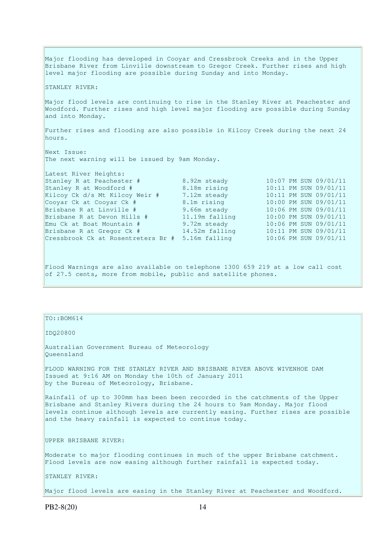Major flooding has developed in Cooyar and Cressbrook Creeks and in the Upper Brisbane River from Linville downstream to Gregor Creek. Further rises and high level major flooding are possible during Sunday and into Monday. STANLEY RIVER: Major flood levels are continuing to rise in the Stanley River at Peachester and Woodford. Further rises and high level major flooding are possible during Sunday and into Monday. Further rises and flooding are also possible in Kilcoy Creek during the next 24 hours. Next Issue: The next warning will be issued by 9am Monday. Latest River Heights:<br>Stanley R at Peachester # Stanley R at Peachester # 8.92m steady 10:07 PM SUN 09/01/11<br>Stanley R at Woodford # 8.18m rising 10:11 PM SUN 09/01/11 Stanley R at Woodford # 8.18m rising 10:11 PM SUN 09/01/11 Kilcoy Ck d/s Mt Kilcoy Weir # 7.12m steady 10:11 PM SUN 09/01/11 Cooyar Ck at Cooyar Ck # 8.1m rising 10:00 PM SUN 09/01/11 Cooyar Ck at Cooyar Ck # 8.1m rising<br>Brisbane R at Linville # 9.66m steady 10:00 PM SUN 09/01/11<br>Brisbane R at Devon Hills # 11.19m falling 10:00 PM SUN 09/01/11 Brisbane R at Devon Hills # 11.19m falling 10:00 PM SUN 09/01/11<br>Emu Ck at Boat Mountain # 9.72m steady 10:06 PM SUN 09/01/11 Emu Ck at Boat Mountain # 9.72m steady 10:06 PM SUN 09/01/11 Brisbane R at Gregor Ck # 14.52m falling 10:11 PM SUN 09/01/11 Cressbrook Ck at Rosentreters Br # 5.16m falling 10:06 PM SUN 09/01/11

Flood Warnings are also available on telephone 1300 659 219 at a low call cost of 27.5 cents, more from mobile, public and satellite phones.

TO::BOM614

IDQ20800

Australian Government Bureau of Meteorology Queensland

FLOOD WARNING FOR THE STANLEY RIVER AND BRISBANE RIVER ABOVE WIVENHOE DAM Issued at 9:16 AM on Monday the 10th of January 2011 by the Bureau of Meteorology, Brisbane.

Rainfall of up to 300mm has been been recorded in the catchments of the Upper Brisbane and Stanley Rivers during the 24 hours to 9am Monday. Major flood levels continue although levels are currently easing. Further rises are possible and the heavy rainfall is expected to continue today.

UPPER BRISBANE RIVER:

Moderate to major flooding continues in much of the upper Brisbane catchment. Flood levels are now easing although further rainfall is expected today.

STANLEY RIVER:

Major flood levels are easing in the Stanley River at Peachester and Woodford.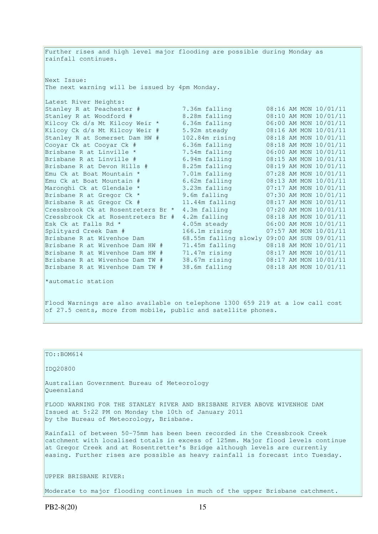Further rises and high level major flooding are possible during Monday as rainfall continues. Next Issue: The next warning will be issued by 4pm Monday. Latest River Heights: Stanley R at Peachester # 7.36m falling 08:16 AM MON 10/01/11 Stanley R at Woodford # 8.28m falling 08:10 AM MON 10/01/11 Kilcoy Ck d/s Mt Kilcoy Weir \* 6.36m falling 06:00 AM MON 10/01/11 Kilcoy Ck d/s Mt Kilcoy Weir # 5.92m steady 08:16 AM MON 10/01/11 Stanley R at Somerset Dam HW # 102.84m rising 08:18 AM MON 10/01/11 Cooyar Ck at Cooyar Ck # 6.36m falling 08:18 AM MON 10/01/11 Brisbane R at Linville \* 7.54m falling 06:00 AM MON 10/01/11 Brisbane R at Linville # 6.94m falling 08:15 AM MON 10/01/11 Brisbane R at Devon Hills # 8.25m falling 08:19 AM MON 10/01/11 Emu Ck at Boat Mountain  $*$  7.01m falling 07:28 AM MON 10/01/11 Emu Ck at Boat Mountain # 6.62m falling 08:13 AM MON 10/01/11 Maronghi Ck at Glendale \* 3.23m falling 07:17 AM MON 10/01/11 Brisbane R at Gregor Ck \* 9.6m falling 07:30 AM MON 10/01/11 Brisbane R at Gregor Ck # 11.44m falling 08:17 AM MON 10/01/11 Cressbrook Ck at Rosentreters Br  $*$  4.3m falling  $07:20$  AM MON  $10/01/11$ Cressbrook Ck at Rosentreters Br # 4.2m falling 08:18 AM MON 10/01/11 Esk Ck at Falls Rd  $*$   $4.05$ m steady  $06:00$  AM MON  $10/01/11$ Splityard Creek Dam # 166.1m rising 07:57 AM MON 10/01/11 Brisbane R at Wivenhoe Dam 68.55m falling slowly 09:00 AM SUN 09/01/11 Brisbane R at Wivenhoe Dam HW # 71.45m falling 08:18 AM MON 10/01/11 Brisbane R at Wivenhoe Dam HW # 71.47m rising 08:17 AM MON 10/01/11 Brisbane R at Wivenhoe Dam TW # 38.67m rising 08:17 AM MON 10/01/11 Brisbane R at Wivenhoe Dam TW # 38.6m falling 08:18 AM MON 10/01/11 \*automatic station Flood Warnings are also available on telephone 1300 659 219 at a low call cost of 27.5 cents, more from mobile, public and satellite phones.

TO::BOM614 IDQ20800 Australian Government Bureau of Meteorology Queensland FLOOD WARNING FOR THE STANLEY RIVER AND BRISBANE RIVER ABOVE WIVENHOE DAM Issued at 5:22 PM on Monday the 10th of January 2011 by the Bureau of Meteorology, Brisbane. Rainfall of between 50-75mm has been been recorded in the Cressbrook Creek catchment with localised totals in excess of 125mm. Major flood levels continue at Gregor Creek and at Rosentretter's Bridge although levels are currently easing. Further rises are possible as heavy rainfall is forecast into Tuesday. UPPER BRISBANE RIVER: Moderate to major flooding continues in much of the upper Brisbane catchment.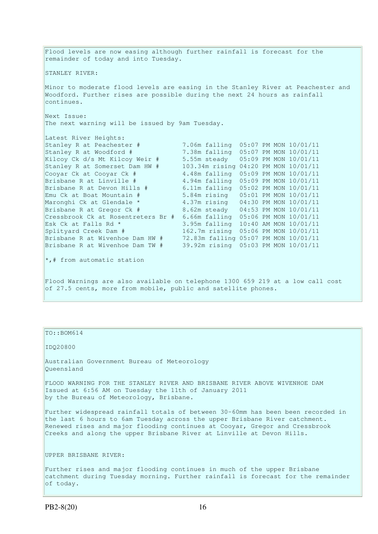Flood levels are now easing although further rainfall is forecast for the remainder of today and into Tuesday. STANLEY RIVER: Minor to moderate flood levels are easing in the Stanley River at Peachester and Woodford. Further rises are possible during the next 24 hours as rainfall continues. Next Issue: The next warning will be issued by 9am Tuesday. Latest River Heights: Stanley R at Peachester # 7.06m falling 05:07 PM MON 10/01/11 Stanley R at Woodford # 7.38m falling 05:07 PM MON 10/01/11 Kilcoy Ck d/s Mt Kilcoy Weir # 5.55m steady 05:09 PM MON 10/01/11 Stanley R at Somerset Dam HW # 103.34m rising 04:20 PM MON 10/01/11 Cooyar Ck at Cooyar Ck # 4.48m falling 05:09 PM MON 10/01/11<br>Brisbane R at Linville # 4.94m falling 05:09 PM MON 10/01/11 Brisbane R at Linville # 4.94m falling 05:09 PM MON 10/01/11<br>Brisbane R at Devon Hills # 6.11m falling 05:02 PM MON 10/01/11  $6.11m$  falling  $05:02$  PM MON  $10/01/11$ Emu Ck at Boat Mountain #  $5.84$ m rising 05:01 PM MON 10/01/11<br>  $\frac{1}{2}$  The Ck at Boat Mountain #  $\frac{5.84$ m rising 04:30 PM MON 10/01/11 Maronghi Ck at Glendale \* 4.37m rising 04:30 PM MON 10/01/11 Brisbane R at Gregor Ck # 8.62m steady 04:53 PM MON 10/01/11 Cressbrook Ck at Rosentreters Br # 6.66m falling 05:06 PM MON 10/01/11 Esk Ck at Falls Rd \* 3.95m falling 10:40 AM MON 10/01/11 Splityard Creek Dam # 162.7m rising 05:06 PM MON 10/01/11 Brisbane R at Wivenhoe Dam HW # 72.83m falling 05:07 PM MON 10/01/11 Brisbane R at Wivenhoe Dam TW # 39.92m rising 05:03 PM MON 10/01/11 \*,# from automatic station Flood Warnings are also available on telephone 1300 659 219 at a low call cost

of 27.5 cents, more from mobile, public and satellite phones.

### TO::BOM614

IDQ20800

Australian Government Bureau of Meteorology Queensland

FLOOD WARNING FOR THE STANLEY RIVER AND BRISBANE RIVER ABOVE WIVENHOE DAM Issued at 6:56 AM on Tuesday the 11th of January 2011 by the Bureau of Meteorology, Brisbane.

Further widespread rainfall totals of between 30-60mm has been been recorded in the last 6 hours to 6am Tuesday across the upper Brisbane River catchment. Renewed rises and major flooding continues at Cooyar, Gregor and Cressbrook Creeks and along the upper Brisbane River at Linville at Devon Hills.

UPPER BRISBANE RIVER:

Further rises and major flooding continues in much of the upper Brisbane catchment during Tuesday morning. Further rainfall is forecast for the remainder of today.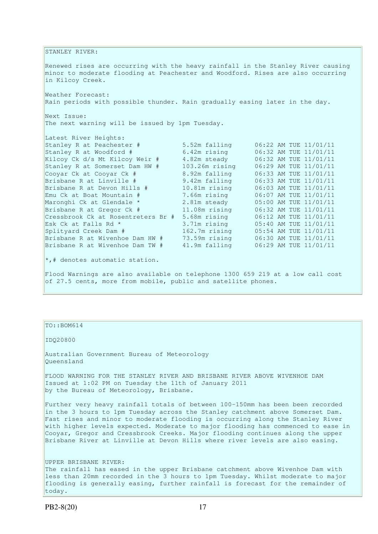STANLEY RIVER: Renewed rises are occurring with the heavy rainfall in the Stanley River causing minor to moderate flooding at Peachester and Woodford. Rises are also occurring in Kilcoy Creek. Weather Forecast: Rain periods with possible thunder. Rain gradually easing later in the day. Next Issue: The next warning will be issued by 1pm Tuesday. Latest River Heights: Stanley R at Peachester # 5.52m falling 06:22 AM TUE 11/01/11 Stanley R at Woodford # 6.42m rising 06:32 AM TUE 11/01/11 Kilcoy Ck d/s Mt Kilcoy Weir # 4.82m steady 06:32 AM TUE 11/01/11 Stanley R at Somerset Dam HW # 103.26m rising 06:29 AM TUE 11/01/11 Cooyar Ck at Cooyar Ck # 8.92m falling 06:33 AM TUE 11/01/11 Brisbane R at Linville # 9.42m falling 06:33 AM TUE 11/01/11 Brisbane R at Devon Hills # 10.81m rising 06:03 AM TUE 11/01/11 Emu Ck at Boat Mountain # 7.66m rising 06:07 AM TUE 11/01/11 Maronghi Ck at Glendale \* 2.81m steady 05:00 AM TUE 11/01/11 Brisbane R at Gregor Ck # 11.08m rising 06:32 AM TUE 11/01/11 Cressbrook Ck at Rosentreters Br # 5.68m rising 06:12 AM TUE 11/01/11 Esk Ck at Falls Rd  $\star$  3.71m rising 05:40 AM TUE 11/01/11 Splityard Creek Dam # 162.7m rising 05:54 AM TUE 11/01/11 Brisbane R at Wivenhoe Dam HW # 73.59m rising 06:30 AM TUE 11/01/11 Brisbane R at Wivenhoe Dam TW # 41.9m falling 06:29 AM TUE 11/01/11 \*,# denotes automatic station. Flood Warnings are also available on telephone 1300 659 219 at a low call cost of 27.5 cents, more from mobile, public and satellite phones.

## TO::BOM614

#### IDQ20800

Australian Government Bureau of Meteorology Queensland

FLOOD WARNING FOR THE STANLEY RIVER AND BRISBANE RIVER ABOVE WIVENHOE DAM Issued at 1:02 PM on Tuesday the 11th of January 2011 by the Bureau of Meteorology, Brisbane.

Further very heavy rainfall totals of between 100-150mm has been been recorded in the 3 hours to 1pm Tuesday across the Stanley catchment above Somerset Dam. Fast rises and minor to moderate flooding is occurring along the Stanley River with higher levels expected. Moderate to major flooding has commenced to ease in Cooyar, Gregor and Cressbrook Creeks. Major flooding continues along the upper Brisbane River at Linville at Devon Hills where river levels are also easing.

## UPPER BRISBANE RIVER:

The rainfall has eased in the upper Brisbane catchment above Wivenhoe Dam with less than 20mm recorded in the 3 hours to 1pm Tuesday. Whilst moderate to major flooding is generally easing, further rainfall is forecast for the remainder of today.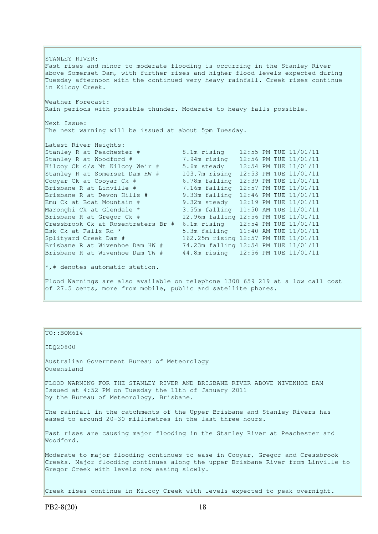STANLEY RIVER: Fast rises and minor to moderate flooding is occurring in the Stanley River above Somerset Dam, with further rises and higher flood levels expected during Tuesday afternoon with the continued very heavy rainfall. Creek rises continue in Kilcoy Creek. Weather Forecast: Rain periods with possible thunder. Moderate to heavy falls possible. Next Issue: The next warning will be issued at about 5pm Tuesday. Latest River Heights: Stanley R at Peachester # 8.1m rising 12:55 PM TUE 11/01/11 Stanley R at Woodford # 7.94m rising 12:56 PM TUE 11/01/11 Kilcoy Ck d/s Mt Kilcoy Weir # 5.6m steady 12:54 PM TUE 11/01/11 Stanley R at Somerset Dam HW # 103.7m rising 12:53 PM TUE 11/01/11 Cooyar Ck at Cooyar Ck  $#$  6.78m falling 12:39 PM TUE 11/01/11<br>Brisbane R at Linville  $#$  7.16m falling 12:57 PM TUE 11/01/11 7.16m falling 12:57 PM TUE 11/01/11 Brisbane R at Devon Hills # 9.33m falling 12:46 PM TUE 11/01/11 Emu Ck at Boat Mountain # 9.32m steady 12:19 PM TUE 11/01/11 Maronghi Ck at Glendale \* 3.55m falling 11:50 AM TUE 11/01/11 Praconghi CK at Gichaale 2012. Sixteen and the state of the state of the Brisbane R at Gregor Ck # 12.96m falling 12:56 PM TUE 11/01/11 Cressbrook Ck at Rosentreters Br # 6.1m rising 12:54 PM TUE 11/01/11 Esk Ck at Falls Rd  $*$  5.3m falling 11:40 AM TUE 11/01/11 Splityard Creek Dam # 162.25m rising 12:57 PM TUE 11/01/11 Brisbane R at Wivenhoe Dam HW # 74.23m falling 12:54 PM TUE 11/01/11 Brisbane R at Wivenhoe Dam TW # 44.8m rising 12:56 PM TUE 11/01/11  $\star$ ,# denotes automatic station. Flood Warnings are also available on telephone 1300 659 219 at a low call cost of 27.5 cents, more from mobile, public and satellite phones.

#### TO::BOM614

#### IDQ20800

Australian Government Bureau of Meteorology Queensland

FLOOD WARNING FOR THE STANLEY RIVER AND BRISBANE RIVER ABOVE WIVENHOE DAM Issued at 4:52 PM on Tuesday the 11th of January 2011 by the Bureau of Meteorology, Brisbane.

The rainfall in the catchments of the Upper Brisbane and Stanley Rivers has eased to around 20-30 millimetres in the last three hours.

Fast rises are causing major flooding in the Stanley River at Peachester and Woodford.

Moderate to major flooding continues to ease in Cooyar, Gregor and Cressbrook Creeks. Major flooding continues along the upper Brisbane River from Linville to Gregor Creek with levels now easing slowly.

Creek rises continue in Kilcoy Creek with levels expected to peak overnight.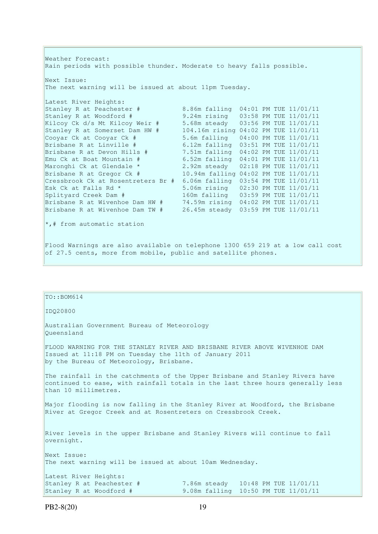Weather Forecast: Rain periods with possible thunder. Moderate to heavy falls possible. Next Issue: The next warning will be issued at about 11pm Tuesday. Latest River Heights: Stanley R at Peachester # 8.86m falling 04:01 PM TUE 11/01/11 Stanley R at Woodford # 9.24m rising 03:58 PM TUE 11/01/11 Kilcoy Ck d/s Mt Kilcoy Weir # 5.68m steady 03:56 PM TUE 11/01/11 Stanley R at Somerset Dam HW # 104.16m rising 04:02 PM TUE 11/01/11 Cooyar Ck at Cooyar Ck # 5.6m falling 04:00 PM TUE 11/01/11 Brisbane R at Linville # 6.12m falling 03:51 PM TUE 11/01/11 Brisbane R at Devon Hills # 7.51m falling 04:02 PM TUE 11/01/11 Emu Ck at Boat Mountain #  $6.52$ m falling 04:01 PM TUE 11/01/11<br>Maronghi Ck at Glendale \* 2.92m steady 02:18 PM TUE 11/01/11 Maronghi Ck at Glendale \* 2.92m steady 02:18 PM TUE 11/01/11 Brisbane R at Gregor Ck # 10.94m falling 04:02 PM TUE 11/01/11 Cressbrook Ck at Rosentreters Br  $\#$  6.06m falling 03:54 PM TUE 11/01/11<br>Esk Ck at Falls Rd \* 5.06m rising 02:30 PM TUE 11/01/11 Esk Ck at Falls Rd \* 5.06m rising 02:30 PM TUE 11/01/11 Splityard Creek Dam # 160m falling 03:59 PM TUE 11/01/11 Brisbane R at Wivenhoe Dam HW # 74.59m rising 04:02 PM TUE 11/01/11 Brisbane R at Wivenhoe Dam TW # 26.45m steady 03:59 PM TUE 11/01/11 \*,# from automatic station Flood Warnings are also available on telephone 1300 659 219 at a low call cost of 27.5 cents, more from mobile, public and satellite phones.

# $TO::BOM614$ IDQ20800 Australian Government Bureau of Meteorology Queensland FLOOD WARNING FOR THE STANLEY RIVER AND BRISBANE RIVER ABOVE WIVENHOE DAM Issued at 11:18 PM on Tuesday the 11th of January 2011 by the Bureau of Meteorology, Brisbane. The rainfall in the catchments of the Upper Brisbane and Stanley Rivers have continued to ease, with rainfall totals in the last three hours generally less than 10 millimetres. Major flooding is now falling in the Stanley River at Woodford, the Brisbane River at Gregor Creek and at Rosentreters on Cressbrook Creek. River levels in the upper Brisbane and Stanley Rivers will continue to fall overnight. Next Issue: The next warning will be issued at about 10am Wednesday. Latest River Heights:<br>Stanley R at Peachester #<br>Stanley R at Woodford # 7.86m steady 10:48 PM TUE 11/01/11 9.08m falling 10:50 PM TUE 11/01/11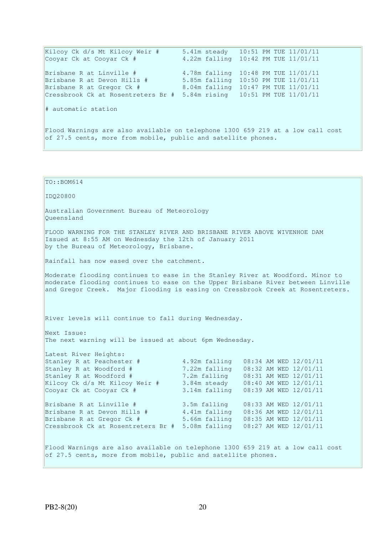Kilcoy Ck d/s Mt Kilcoy Weir # 5.41m steady 10:51 PM TUE 11/01/11 Cooyar Ck at Cooyar Ck # 4.22m falling 10:42 PM TUE 11/01/11 Brisbane R at Linville # 4.78m falling 10:48 PM TUE 11/01/11 Brisbane R at Devon Hills # 5.85m falling 10:50 PM TUE 11/01/11 Brisbane R at Gregor Ck # 8.04m falling 10:47 PM TUE 11/01/11 Cressbrook Ck at Rosentreters Br # 5.84m rising 10:51 PM TUE 11/01/11 # automatic station Flood Warnings are also available on telephone 1300 659 219 at a low call cost of 27.5 cents, more from mobile, public and satellite phones.

TO::BOM614 IDQ20800 Australian Government Bureau of Meteorology Queensland FLOOD WARNING FOR THE STANLEY RIVER AND BRISBANE RIVER ABOVE WIVENHOE DAM Issued at 8:55 AM on Wednesday the 12th of January 2011 by the Bureau of Meteorology, Brisbane. Rainfall has now eased over the catchment. Moderate flooding continues to ease in the Stanley River at Woodford. Minor to moderate flooding continues to ease on the Upper Brisbane River between Linville and Gregor Creek. Major flooding is easing on Cressbrook Creek at Rosentreters. River levels will continue to fall during Wednesday. Next Issue: The next warning will be issued at about 6pm Wednesday. Latest River Heights: Stanley R at Peachester # 4.92m falling 08:34 AM WED 12/01/11<br>Stanley R at Woodford # 7.22m falling 08:32 AM WED 12/01/11<br>Stanley R at Woodford # 7.2m falling 08:31 AM WED 12/01/11 7.22m falling 08:32 AM WED 12/01/11 Stanley R at Woodford # 7.2m falling 08:31 AM WED 12/01/11 Kilcoy Ck d/s Mt Kilcoy Weir # 3.84m steady 08:40 AM WED 12/01/11 Cooyar Ck at Cooyar Ck # 3.14m falling 08:39 AM WED 12/01/11 Brisbane R at Linville # 3.5m falling 08:33 AM WED 12/01/11 Brisbane R at Devon Hills # 4.41m falling 08:36 AM WED 12/01/11 Brisbane R at Gregor Ck # 5.66m falling 08:35 AM WED 12/01/11 Cressbrook Ck at Rosentreters Br # 5.08m falling 08:27 AM WED 12/01/11 Flood Warnings are also available on telephone 1300 659 219 at a low call cost of 27.5 cents, more from mobile, public and satellite phones.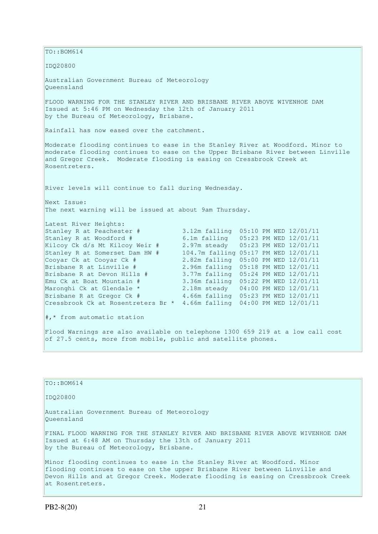$\vert$ TO::BOM614 IDQ20800 Australian Government Bureau of Meteorology Queensland FLOOD WARNING FOR THE STANLEY RIVER AND BRISBANE RIVER ABOVE WIVENHOE DAM Issued at 5:46 PM on Wednesday the 12th of January 2011 by the Bureau of Meteorology, Brisbane. Rainfall has now eased over the catchment. Moderate flooding continues to ease in the Stanley River at Woodford. Minor to moderate flooding continues to ease on the Upper Brisbane River between Linville and Gregor Creek. Moderate flooding is easing on Cressbrook Creek at Rosentreters. River levels will continue to fall during Wednesday. Next Issue: The next warning will be issued at about 9am Thursday. Latest River Heights: Stanley R at Peachester # 3.12m falling 05:10 PM WED 12/01/11 Stanley R at Woodford # 6.1m falling 05:23 PM WED 12/01/11 Kilcoy Ck d/s Mt Kilcoy Weir # 2.97m steady 05:23 PM WED 12/01/11 Stanley R at Somerset Dam HW # 104.7m falling 05:17 PM WED 12/01/11 Cooyar Ck at Cooyar Ck # 2.82m falling 05:00 PM WED 12/01/11 Brisbane R at Linville # 2.96m falling 05:18 PM WED 12/01/11 Brisbane R at Devon Hills # 3.77m falling 05:24 PM WED 12/01/11 Emu Ck at Boat Mountain # 3.36m falling 05:22 PM WED 12/01/11 Maronghi Ck at Glendale \* 2.18m steady 04:00 PM WED 12/01/11<br>Brisbane R at Gregor Ck # 4.66m falling 05:23 PM WED 12/01/11 Brisbane R at Gregor Ck # 4.66m falling 05:23 PM WED 12/01/11 Cressbrook Ck at Rosentreters Br \* 4.66m falling 04:00 PM WED 12/01/11 #,\* from automatic station Flood Warnings are also available on telephone 1300 659 219 at a low call cost of 27.5 cents, more from mobile, public and satellite phones.

| IO::BOM614                                                                                                                                                                                                                                                      |
|-----------------------------------------------------------------------------------------------------------------------------------------------------------------------------------------------------------------------------------------------------------------|
| ID020800                                                                                                                                                                                                                                                        |
| Australian Government Bureau of Meteorology<br>Oueensland                                                                                                                                                                                                       |
| FINAL FLOOD WARNING FOR THE STANLEY RIVER AND BRISBANE RIVER ABOVE WIVENHOE DAM<br>Issued at 6:48 AM on Thursday the 13th of January 2011<br>by the Bureau of Meteorology, Brisbane.                                                                            |
| Minor flooding continues to ease in the Stanley River at Woodford. Minor<br>flooding continues to ease on the upper Brisbane River between Linville and<br>Devon Hills and at Gregor Creek. Moderate flooding is easing on Cressbrook Creek<br>at Rosentreters. |

TO::BOM614